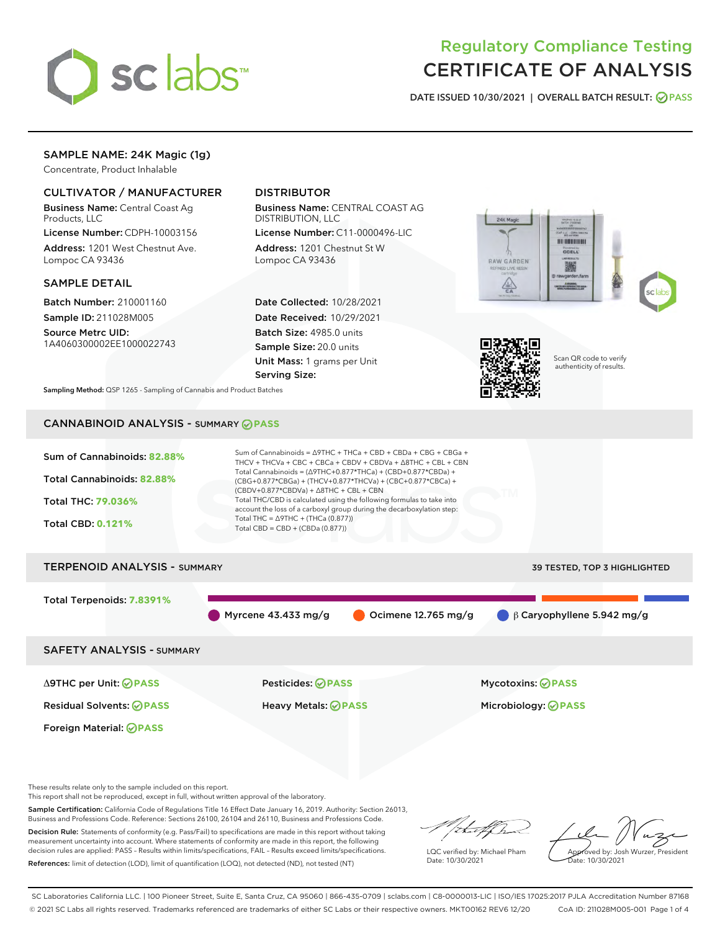

# Regulatory Compliance Testing CERTIFICATE OF ANALYSIS

DATE ISSUED 10/30/2021 | OVERALL BATCH RESULT: @ PASS

# SAMPLE NAME: 24K Magic (1g)

Concentrate, Product Inhalable

# CULTIVATOR / MANUFACTURER

Business Name: Central Coast Ag Products, LLC

License Number: CDPH-10003156 Address: 1201 West Chestnut Ave. Lompoc CA 93436

#### SAMPLE DETAIL

Batch Number: 210001160 Sample ID: 211028M005

Source Metrc UID: 1A4060300002EE1000022743

# DISTRIBUTOR

Business Name: CENTRAL COAST AG DISTRIBUTION, LLC

License Number: C11-0000496-LIC Address: 1201 Chestnut St W Lompoc CA 93436

Date Collected: 10/28/2021 Date Received: 10/29/2021 Batch Size: 4985.0 units Sample Size: 20.0 units Unit Mass: 1 grams per Unit Serving Size:





Scan QR code to verify authenticity of results.

Sampling Method: QSP 1265 - Sampling of Cannabis and Product Batches

# CANNABINOID ANALYSIS - SUMMARY **PASS**



This report shall not be reproduced, except in full, without written approval of the laboratory.

Sample Certification: California Code of Regulations Title 16 Effect Date January 16, 2019. Authority: Section 26013, Business and Professions Code. Reference: Sections 26100, 26104 and 26110, Business and Professions Code.

Decision Rule: Statements of conformity (e.g. Pass/Fail) to specifications are made in this report without taking measurement uncertainty into account. Where statements of conformity are made in this report, the following decision rules are applied: PASS – Results within limits/specifications, FAIL – Results exceed limits/specifications. References: limit of detection (LOD), limit of quantification (LOQ), not detected (ND), not tested (NT)

that f h

LQC verified by: Michael Pham Date: 10/30/2021

Approved by: Josh Wurzer, President Date: 10/30/2021

SC Laboratories California LLC. | 100 Pioneer Street, Suite E, Santa Cruz, CA 95060 | 866-435-0709 | sclabs.com | C8-0000013-LIC | ISO/IES 17025:2017 PJLA Accreditation Number 87168 © 2021 SC Labs all rights reserved. Trademarks referenced are trademarks of either SC Labs or their respective owners. MKT00162 REV6 12/20 CoA ID: 211028M005-001 Page 1 of 4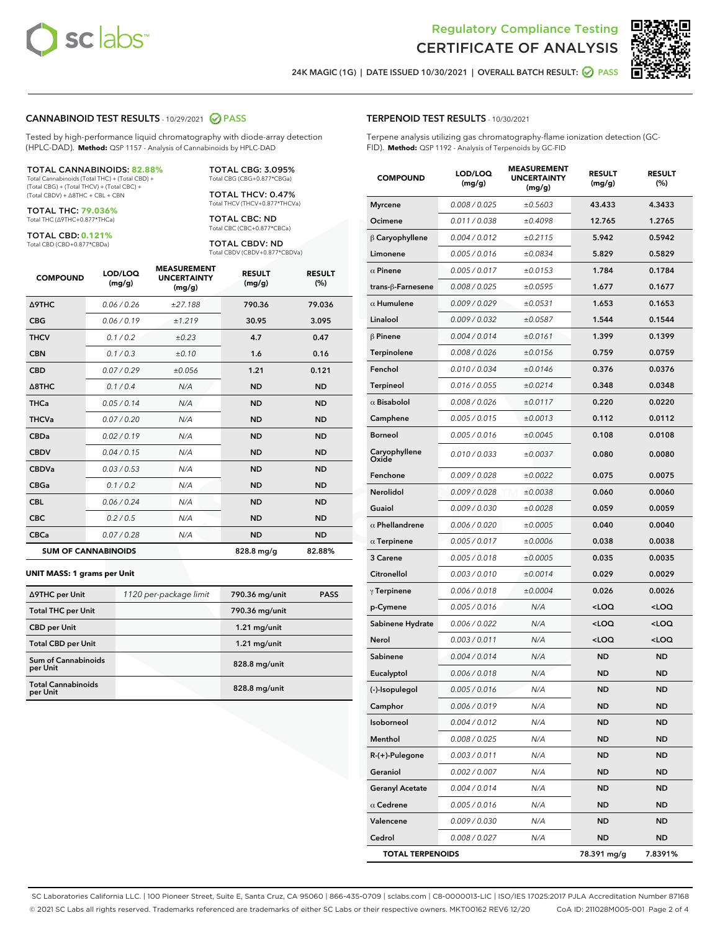



24K MAGIC (1G) | DATE ISSUED 10/30/2021 | OVERALL BATCH RESULT: ☑ PASS

## CANNABINOID TEST RESULTS - 10/29/2021 2 PASS

Tested by high-performance liquid chromatography with diode-array detection (HPLC-DAD). **Method:** QSP 1157 - Analysis of Cannabinoids by HPLC-DAD

#### TOTAL CANNABINOIDS: **82.88%**

Total Cannabinoids (Total THC) + (Total CBD) + (Total CBG) + (Total THCV) + (Total CBC) + (Total CBDV) + ∆8THC + CBL + CBN

TOTAL THC: **79.036%** Total THC (∆9THC+0.877\*THCa)

TOTAL CBD: **0.121%**

Total CBD (CBD+0.877\*CBDa)

TOTAL CBG: 3.095% Total CBG (CBG+0.877\*CBGa)

> TOTAL THCV: 0.47% Total THCV (THCV+0.877\*THCVa)

TOTAL CBC: ND Total CBC (CBC+0.877\*CBCa)

TOTAL CBDV: ND Total CBDV (CBDV+0.877\*CBDVa)

| <b>COMPOUND</b>            | LOD/LOQ<br>(mg/g) | <b>MEASUREMENT</b><br><b>UNCERTAINTY</b><br>(mg/g) | <b>RESULT</b><br>(mg/g) | <b>RESULT</b><br>(%) |
|----------------------------|-------------------|----------------------------------------------------|-------------------------|----------------------|
| <b>A9THC</b>               | 0.06 / 0.26       | ±27.188                                            | 790.36                  | 79.036               |
| <b>CBG</b>                 | 0.06 / 0.19       | ±1.219                                             | 30.95                   | 3.095                |
| <b>THCV</b>                | 0.1 / 0.2         | ±0.23                                              | 4.7                     | 0.47                 |
| <b>CBN</b>                 | 0.1/0.3           | ±0.10                                              | 1.6                     | 0.16                 |
| <b>CBD</b>                 | 0.07/0.29         | ±0.056                                             | 1.21                    | 0.121                |
| $\triangle$ 8THC           | 0.1 / 0.4         | N/A                                                | <b>ND</b>               | <b>ND</b>            |
| <b>THCa</b>                | 0.05/0.14         | N/A                                                | <b>ND</b>               | <b>ND</b>            |
| <b>THCVa</b>               | 0.07/0.20         | N/A                                                | <b>ND</b>               | <b>ND</b>            |
| <b>CBDa</b>                | 0.02/0.19         | N/A                                                | <b>ND</b>               | <b>ND</b>            |
| <b>CBDV</b>                | 0.04 / 0.15       | N/A                                                | <b>ND</b>               | <b>ND</b>            |
| <b>CBDVa</b>               | 0.03/0.53         | N/A                                                | <b>ND</b>               | <b>ND</b>            |
| <b>CBGa</b>                | 0.1/0.2           | N/A                                                | <b>ND</b>               | <b>ND</b>            |
| <b>CBL</b>                 | 0.06 / 0.24       | N/A                                                | <b>ND</b>               | <b>ND</b>            |
| <b>CBC</b>                 | 0.2 / 0.5         | N/A                                                | <b>ND</b>               | <b>ND</b>            |
| <b>CBCa</b>                | 0.07/0.28         | N/A                                                | <b>ND</b>               | <b>ND</b>            |
| <b>SUM OF CANNABINOIDS</b> |                   |                                                    | 828.8 mg/g              | 82.88%               |

#### **UNIT MASS: 1 grams per Unit**

| ∆9THC per Unit                        | 1120 per-package limit | 790.36 mg/unit | <b>PASS</b> |
|---------------------------------------|------------------------|----------------|-------------|
| <b>Total THC per Unit</b>             |                        | 790.36 mg/unit |             |
| <b>CBD</b> per Unit                   |                        | $1.21$ mg/unit |             |
| <b>Total CBD per Unit</b>             |                        | $1.21$ mg/unit |             |
| Sum of Cannabinoids<br>per Unit       |                        | 828.8 mg/unit  |             |
| <b>Total Cannabinoids</b><br>per Unit |                        | 828.8 mg/unit  |             |

| <b>COMPOUND</b>         | LOD/LOQ<br>(mg/g) | <b>MEASUREMENT</b><br><b>UNCERTAINTY</b><br>(mg/g) | <b>RESULT</b><br>(mg/g)                          | <b>RESULT</b><br>$(\%)$ |
|-------------------------|-------------------|----------------------------------------------------|--------------------------------------------------|-------------------------|
| <b>Myrcene</b>          | 0.008 / 0.025     | ±0.5603                                            | 43.433                                           | 4.3433                  |
| Ocimene                 | 0.011 / 0.038     | ±0.4098                                            | 12.765                                           | 1.2765                  |
| $\upbeta$ Caryophyllene | 0.004 / 0.012     | ±0.2115                                            | 5.942                                            | 0.5942                  |
| Limonene                | 0.005 / 0.016     | ±0.0834                                            | 5.829                                            | 0.5829                  |
| $\alpha$ Pinene         | 0.005 / 0.017     | ±0.0153                                            | 1.784                                            | 0.1784                  |
| trans-β-Farnesene       | 0.008 / 0.025     | ±0.0595                                            | 1.677                                            | 0.1677                  |
| $\alpha$ Humulene       | 0.009/0.029       | ±0.0531                                            | 1.653                                            | 0.1653                  |
| Linalool                | 0.009 / 0.032     | ±0.0587                                            | 1.544                                            | 0.1544                  |
| β Pinene                | 0.004 / 0.014     | ±0.0161                                            | 1.399                                            | 0.1399                  |
| <b>Terpinolene</b>      | 0.008 / 0.026     | ±0.0156                                            | 0.759                                            | 0.0759                  |
| Fenchol                 | 0.010 / 0.034     | ±0.0146                                            | 0.376                                            | 0.0376                  |
| Terpineol               | 0.016 / 0.055     | ±0.0214                                            | 0.348                                            | 0.0348                  |
| $\alpha$ Bisabolol      | 0.008 / 0.026     | ±0.0117                                            | 0.220                                            | 0.0220                  |
| Camphene                | 0.005 / 0.015     | ±0.0013                                            | 0.112                                            | 0.0112                  |
| <b>Borneol</b>          | 0.005 / 0.016     | ±0.0045                                            | 0.108                                            | 0.0108                  |
| Caryophyllene<br>Oxide  | 0.010 / 0.033     | ±0.0037                                            | 0.080                                            | 0.0080                  |
| Fenchone                | 0.009 / 0.028     | ±0.0022                                            | 0.075                                            | 0.0075                  |
| <b>Nerolidol</b>        | 0.009/0.028       | ±0.0038                                            | 0.060                                            | 0.0060                  |
| Guaiol                  | 0.009 / 0.030     | ±0.0028                                            | 0.059                                            | 0.0059                  |
| $\alpha$ Phellandrene   | 0.006 / 0.020     | ±0.0005                                            | 0.040                                            | 0.0040                  |
| $\alpha$ Terpinene      | 0.005 / 0.017     | ±0.0006                                            | 0.038                                            | 0.0038                  |
| 3 Carene                | 0.005 / 0.018     | ±0.0005                                            | 0.035                                            | 0.0035                  |
| Citronellol             | 0.003 / 0.010     | ±0.0014                                            | 0.029                                            | 0.0029                  |
| $\gamma$ Terpinene      | 0.006 / 0.018     | ±0.0004                                            | 0.026                                            | 0.0026                  |
| p-Cymene                | 0.005 / 0.016     | N/A                                                | <loq< th=""><th><math>&lt;</math>LOQ</th></loq<> | $<$ LOQ                 |
| Sabinene Hydrate        | 0.006 / 0.022     | N/A                                                | <loq< th=""><th><loq< th=""></loq<></th></loq<>  | <loq< th=""></loq<>     |
| Nerol                   | 0.003 / 0.011     | N/A                                                | <loq< th=""><th><loq< th=""></loq<></th></loq<>  | <loq< th=""></loq<>     |
| Sabinene                | 0.004 / 0.014     | N/A                                                | <b>ND</b>                                        | <b>ND</b>               |
| Eucalyptol              | 0.006 / 0.018     | N/A                                                | <b>ND</b>                                        | <b>ND</b>               |
| (-)-Isopulegol          | 0.005 / 0.016     | N/A                                                | <b>ND</b>                                        | <b>ND</b>               |
| Camphor                 | 0.006 / 0.019     | N/A                                                | ND                                               | ND                      |
| Isoborneol              | 0.004 / 0.012     | N/A                                                | ND                                               | <b>ND</b>               |
| Menthol                 | 0.008 / 0.025     | N/A                                                | ND                                               | ND                      |
| R-(+)-Pulegone          | 0.003 / 0.011     | N/A                                                | ND                                               | <b>ND</b>               |
| Geraniol                | 0.002 / 0.007     | N/A                                                | ND                                               | <b>ND</b>               |
| <b>Geranyl Acetate</b>  | 0.004 / 0.014     | N/A                                                | ND                                               | ND                      |
| $\alpha$ Cedrene        | 0.005 / 0.016     | N/A                                                | ND                                               | ND                      |
| Valencene               | 0.009 / 0.030     | N/A                                                | ND                                               | <b>ND</b>               |
| Cedrol                  | 0.008 / 0.027     | N/A                                                | ND                                               | ND                      |
| <b>TOTAL TERPENOIDS</b> |                   |                                                    | 78.391 mg/g                                      | 7.8391%                 |

SC Laboratories California LLC. | 100 Pioneer Street, Suite E, Santa Cruz, CA 95060 | 866-435-0709 | sclabs.com | C8-0000013-LIC | ISO/IES 17025:2017 PJLA Accreditation Number 87168 © 2021 SC Labs all rights reserved. Trademarks referenced are trademarks of either SC Labs or their respective owners. MKT00162 REV6 12/20 CoA ID: 211028M005-001 Page 2 of 4

# TERPENOID TEST RESULTS - 10/30/2021

Terpene analysis utilizing gas chromatography-flame ionization detection (GC-FID). **Method:** QSP 1192 - Analysis of Terpenoids by GC-FID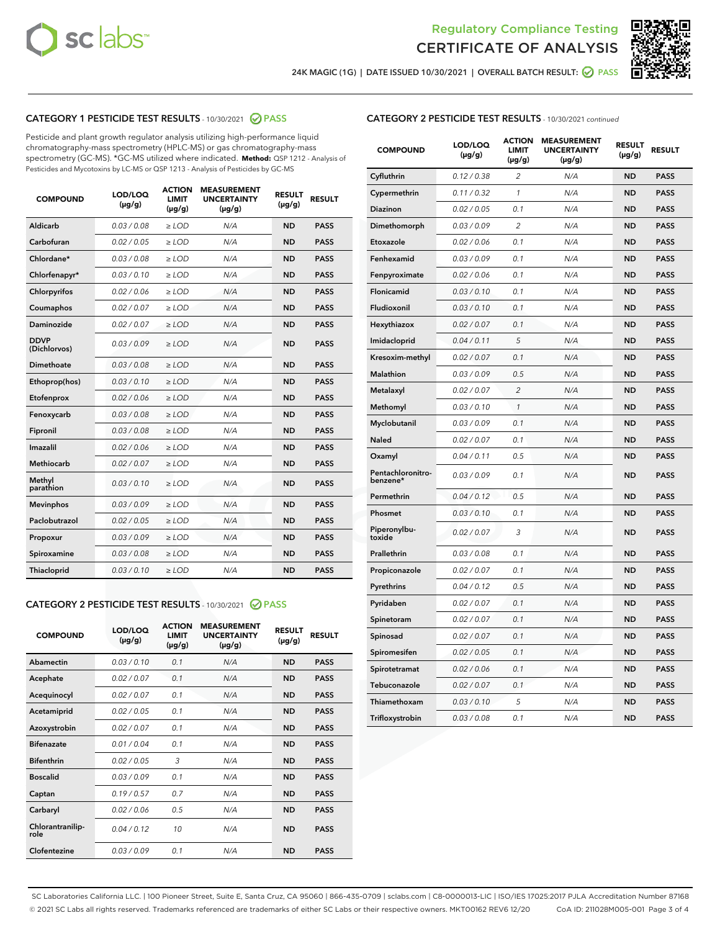



24K MAGIC (1G) | DATE ISSUED 10/30/2021 | OVERALL BATCH RESULT: ● PASS

# CATEGORY 1 PESTICIDE TEST RESULTS - 10/30/2021 2 PASS

Pesticide and plant growth regulator analysis utilizing high-performance liquid chromatography-mass spectrometry (HPLC-MS) or gas chromatography-mass spectrometry (GC-MS). \*GC-MS utilized where indicated. **Method:** QSP 1212 - Analysis of Pesticides and Mycotoxins by LC-MS or QSP 1213 - Analysis of Pesticides by GC-MS

| <b>COMPOUND</b>             | LOD/LOQ<br>$(\mu g/g)$ | <b>ACTION</b><br>LIMIT<br>$(\mu g/g)$ | <b>MEASUREMENT</b><br><b>UNCERTAINTY</b><br>$(\mu g/g)$ | <b>RESULT</b><br>$(\mu g/g)$ | <b>RESULT</b> |
|-----------------------------|------------------------|---------------------------------------|---------------------------------------------------------|------------------------------|---------------|
| Aldicarb                    | 0.03/0.08              | $>$ LOD                               | N/A                                                     | <b>ND</b>                    | <b>PASS</b>   |
| Carbofuran                  | 0.02 / 0.05            | $\ge$ LOD                             | N/A                                                     | <b>ND</b>                    | <b>PASS</b>   |
| Chlordane*                  | 0.03 / 0.08            | $\ge$ LOD                             | N/A                                                     | <b>ND</b>                    | <b>PASS</b>   |
| Chlorfenapyr*               | 0.03/0.10              | $\ge$ LOD                             | N/A                                                     | <b>ND</b>                    | <b>PASS</b>   |
| Chlorpyrifos                | 0.02 / 0.06            | $\ge$ LOD                             | N/A                                                     | <b>ND</b>                    | <b>PASS</b>   |
| Coumaphos                   | 0.02 / 0.07            | $\ge$ LOD                             | N/A                                                     | <b>ND</b>                    | <b>PASS</b>   |
| Daminozide                  | 0.02/0.07              | $>$ LOD                               | N/A                                                     | <b>ND</b>                    | <b>PASS</b>   |
| <b>DDVP</b><br>(Dichlorvos) | 0.03/0.09              | $\ge$ LOD                             | N/A                                                     | <b>ND</b>                    | <b>PASS</b>   |
| <b>Dimethoate</b>           | 0.03 / 0.08            | $\ge$ LOD                             | N/A                                                     | <b>ND</b>                    | <b>PASS</b>   |
| Ethoprop(hos)               | 0.03/0.10              | $\ge$ LOD                             | N/A                                                     | <b>ND</b>                    | <b>PASS</b>   |
| Etofenprox                  | 0.02 / 0.06            | $\ge$ LOD                             | N/A                                                     | <b>ND</b>                    | <b>PASS</b>   |
| Fenoxycarb                  | 0.03 / 0.08            | $\ge$ LOD                             | N/A                                                     | <b>ND</b>                    | <b>PASS</b>   |
| Fipronil                    | 0.03 / 0.08            | $\ge$ LOD                             | N/A                                                     | <b>ND</b>                    | <b>PASS</b>   |
| Imazalil                    | 0.02 / 0.06            | $>$ LOD                               | N/A                                                     | <b>ND</b>                    | <b>PASS</b>   |
| Methiocarb                  | 0.02 / 0.07            | $>$ LOD                               | N/A                                                     | <b>ND</b>                    | <b>PASS</b>   |
| Methyl<br>parathion         | 0.03/0.10              | $>$ LOD                               | N/A                                                     | <b>ND</b>                    | <b>PASS</b>   |
| <b>Mevinphos</b>            | 0.03/0.09              | $>$ LOD                               | N/A                                                     | <b>ND</b>                    | <b>PASS</b>   |
| Paclobutrazol               | 0.02 / 0.05            | $>$ LOD                               | N/A                                                     | <b>ND</b>                    | <b>PASS</b>   |
| Propoxur                    | 0.03/0.09              | $\ge$ LOD                             | N/A                                                     | <b>ND</b>                    | <b>PASS</b>   |
| Spiroxamine                 | 0.03 / 0.08            | $\ge$ LOD                             | N/A                                                     | <b>ND</b>                    | <b>PASS</b>   |
| Thiacloprid                 | 0.03/0.10              | $\ge$ LOD                             | N/A                                                     | <b>ND</b>                    | <b>PASS</b>   |

#### CATEGORY 2 PESTICIDE TEST RESULTS - 10/30/2021 @ PASS

| <b>COMPOUND</b>          | LOD/LOO<br>$(\mu g/g)$ | <b>ACTION</b><br>LIMIT<br>$(\mu g/g)$ | <b>MEASUREMENT</b><br><b>UNCERTAINTY</b><br>$(\mu g/g)$ | <b>RESULT</b><br>$(\mu g/g)$ | <b>RESULT</b> |  |
|--------------------------|------------------------|---------------------------------------|---------------------------------------------------------|------------------------------|---------------|--|
| Abamectin                | 0.03/0.10              | 0.1                                   | N/A                                                     | <b>ND</b>                    | <b>PASS</b>   |  |
| Acephate                 | 0.02/0.07              | 0.1                                   | N/A                                                     | <b>ND</b>                    | <b>PASS</b>   |  |
| Acequinocyl              | 0.02/0.07              | 0.1                                   | N/A                                                     | <b>ND</b>                    | <b>PASS</b>   |  |
| Acetamiprid              | 0.02 / 0.05            | 0.1                                   | N/A                                                     | <b>ND</b>                    | <b>PASS</b>   |  |
| Azoxystrobin             | 0.02/0.07              | 0.1                                   | N/A                                                     | <b>ND</b>                    | <b>PASS</b>   |  |
| <b>Bifenazate</b>        | 0.01 / 0.04            | 0.1                                   | N/A                                                     | <b>ND</b>                    | <b>PASS</b>   |  |
| <b>Bifenthrin</b>        | 0.02 / 0.05            | 3                                     | N/A                                                     | <b>ND</b>                    | <b>PASS</b>   |  |
| <b>Boscalid</b>          | 0.03/0.09              | 0.1                                   | N/A                                                     | <b>ND</b>                    | <b>PASS</b>   |  |
| Captan                   | 0.19/0.57              | 0.7                                   | N/A                                                     | <b>ND</b>                    | <b>PASS</b>   |  |
| Carbaryl                 | 0.02/0.06              | 0.5                                   | N/A                                                     | <b>ND</b>                    | <b>PASS</b>   |  |
| Chlorantranilip-<br>role | 0.04/0.12              | 10                                    | N/A                                                     | <b>ND</b>                    | <b>PASS</b>   |  |
| Clofentezine             | 0.03/0.09              | 0.1                                   | N/A                                                     | <b>ND</b>                    | <b>PASS</b>   |  |

|  | <b>CATEGORY 2 PESTICIDE TEST RESULTS</b> - 10/30/2021 continued |  |  |  |
|--|-----------------------------------------------------------------|--|--|--|
|--|-----------------------------------------------------------------|--|--|--|

| <b>COMPOUND</b>               | LOD/LOQ<br>(µg/g) | <b>ACTION</b><br>LIMIT<br>$(\mu g/g)$ | <b>MEASUREMENT</b><br><b>UNCERTAINTY</b><br>$(\mu g/g)$ | <b>RESULT</b><br>(µg/g) | <b>RESULT</b> |
|-------------------------------|-------------------|---------------------------------------|---------------------------------------------------------|-------------------------|---------------|
| Cyfluthrin                    | 0.12 / 0.38       | 2                                     | N/A                                                     | ND                      | <b>PASS</b>   |
| Cypermethrin                  | 0.11 / 0.32       | 1                                     | N/A                                                     | ND                      | <b>PASS</b>   |
| Diazinon                      | 0.02 / 0.05       | 0.1                                   | N/A                                                     | ND                      | <b>PASS</b>   |
| Dimethomorph                  | 0.03 / 0.09       | 2                                     | N/A                                                     | ND                      | <b>PASS</b>   |
| Etoxazole                     | 0.02 / 0.06       | 0.1                                   | N/A                                                     | ND                      | <b>PASS</b>   |
| Fenhexamid                    | 0.03 / 0.09       | 0.1                                   | N/A                                                     | ND                      | <b>PASS</b>   |
| Fenpyroximate                 | 0.02 / 0.06       | 0.1                                   | N/A                                                     | <b>ND</b>               | <b>PASS</b>   |
| Flonicamid                    | 0.03 / 0.10       | 0.1                                   | N/A                                                     | <b>ND</b>               | <b>PASS</b>   |
| Fludioxonil                   | 0.03 / 0.10       | 0.1                                   | N/A                                                     | ND                      | <b>PASS</b>   |
| Hexythiazox                   | 0.02 / 0.07       | 0.1                                   | N/A                                                     | <b>ND</b>               | <b>PASS</b>   |
| Imidacloprid                  | 0.04 / 0.11       | 5                                     | N/A                                                     | <b>ND</b>               | <b>PASS</b>   |
| Kresoxim-methyl               | 0.02 / 0.07       | 0.1                                   | N/A                                                     | ND                      | <b>PASS</b>   |
| Malathion                     | 0.03 / 0.09       | 0.5                                   | N/A                                                     | <b>ND</b>               | <b>PASS</b>   |
| Metalaxyl                     | 0.02 / 0.07       | $\overline{c}$                        | N/A                                                     | <b>ND</b>               | <b>PASS</b>   |
| Methomyl                      | 0.03 / 0.10       | $\mathcal{I}$                         | N/A                                                     | <b>ND</b>               | <b>PASS</b>   |
| Myclobutanil                  | 0.03/0.09         | 0.1                                   | N/A                                                     | <b>ND</b>               | <b>PASS</b>   |
| <b>Naled</b>                  | 0.02 / 0.07       | 0.1                                   | N/A                                                     | ND                      | <b>PASS</b>   |
| Oxamyl                        | 0.04 / 0.11       | 0.5                                   | N/A                                                     | ND                      | <b>PASS</b>   |
| Pentachloronitro-<br>benzene* | 0.03/0.09         | 0.1                                   | N/A                                                     | ND                      | <b>PASS</b>   |
| Permethrin                    | 0.04 / 0.12       | 0.5                                   | N/A                                                     | ND                      | PASS          |
| Phosmet                       | 0.03 / 0.10       | 0.1                                   | N/A                                                     | <b>ND</b>               | <b>PASS</b>   |
| Piperonylbu-<br>toxide        | 0.02 / 0.07       | 3                                     | N/A                                                     | <b>ND</b>               | <b>PASS</b>   |
| Prallethrin                   | 0.03 / 0.08       | 0.1                                   | N/A                                                     | ND                      | <b>PASS</b>   |
| Propiconazole                 | 0.02 / 0.07       | 0.1                                   | N/A                                                     | <b>ND</b>               | <b>PASS</b>   |
| Pyrethrins                    | 0.04 / 0.12       | 0.5                                   | N/A                                                     | <b>ND</b>               | <b>PASS</b>   |
| Pyridaben                     | 0.02 / 0.07       | 0.1                                   | N/A                                                     | ND                      | <b>PASS</b>   |
| Spinetoram                    | 0.02 / 0.07       | 0.1                                   | N/A                                                     | ND                      | <b>PASS</b>   |
| Spinosad                      | 0.02 / 0.07       | 0.1                                   | N/A                                                     | ND                      | <b>PASS</b>   |
| Spiromesifen                  | 0.02 / 0.05       | 0.1                                   | N/A                                                     | ND                      | PASS          |
| Spirotetramat                 | 0.02 / 0.06       | 0.1                                   | N/A                                                     | ND                      | <b>PASS</b>   |
| Tebuconazole                  | 0.02 / 0.07       | 0.1                                   | N/A                                                     | <b>ND</b>               | <b>PASS</b>   |
| Thiamethoxam                  | 0.03 / 0.10       | 5                                     | N/A                                                     | ND                      | <b>PASS</b>   |
| Trifloxystrobin               | 0.03 / 0.08       | 0.1                                   | N/A                                                     | <b>ND</b>               | <b>PASS</b>   |

SC Laboratories California LLC. | 100 Pioneer Street, Suite E, Santa Cruz, CA 95060 | 866-435-0709 | sclabs.com | C8-0000013-LIC | ISO/IES 17025:2017 PJLA Accreditation Number 87168 © 2021 SC Labs all rights reserved. Trademarks referenced are trademarks of either SC Labs or their respective owners. MKT00162 REV6 12/20 CoA ID: 211028M005-001 Page 3 of 4